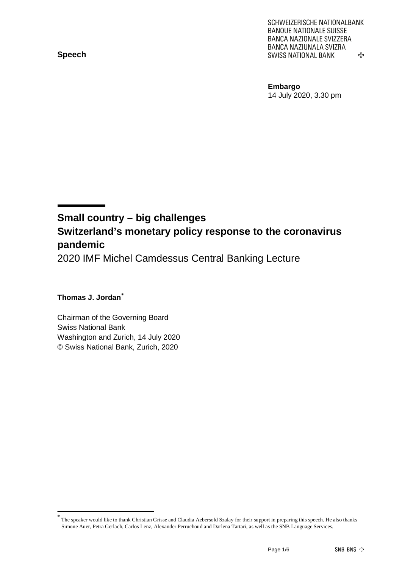**Speech**

SCHWEIZERISCHE NATIONALBANK **BANQUE NATIONALE SUISSE** BANCA NAZIONALE SVIZZERA BANCA NAZIUNALA SVIZRA **SWISS NATIONAL BANK** 亞

**Embargo** 14 July 2020, 3.30 pm

# **Small country – big challenges Switzerland's monetary policy response to the coronavirus pandemic**

2020 IMF Michel Camdessus Central Banking Lecture

### **Thomas J. Jordan[\\*](#page-0-0)**

Chairman of the Governing Board Swiss National Bank Washington and Zurich, 14 July 2020 © Swiss National Bank, Zurich, 2020

<span id="page-0-0"></span>The speaker would like to thank Christian Grisse and Claudia Aebersold Szalay for their support in preparing this speech. He also thanks Simone Auer, Petra Gerlach, Carlos Lenz, Alexander Perruchoud and Darlena Tartari, as well as the SNB Language Services.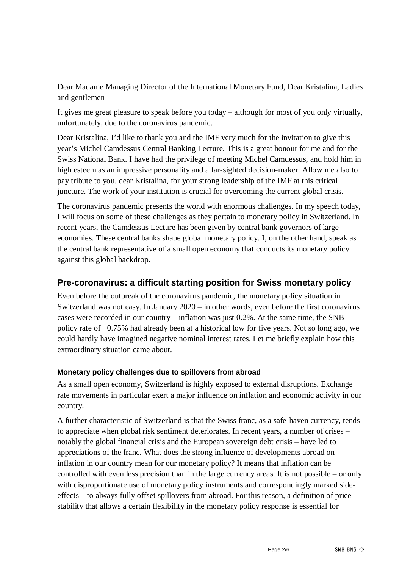Dear Madame Managing Director of the International Monetary Fund, Dear Kristalina, Ladies and gentlemen

It gives me great pleasure to speak before you today – although for most of you only virtually, unfortunately, due to the coronavirus pandemic.

Dear Kristalina, I'd like to thank you and the IMF very much for the invitation to give this year's Michel Camdessus Central Banking Lecture. This is a great honour for me and for the Swiss National Bank. I have had the privilege of meeting Michel Camdessus, and hold him in high esteem as an impressive personality and a far-sighted decision-maker. Allow me also to pay tribute to you, dear Kristalina, for your strong leadership of the IMF at this critical juncture. The work of your institution is crucial for overcoming the current global crisis.

The coronavirus pandemic presents the world with enormous challenges. In my speech today, I will focus on some of these challenges as they pertain to monetary policy in Switzerland. In recent years, the Camdessus Lecture has been given by central bank governors of large economies. These central banks shape global monetary policy. I, on the other hand, speak as the central bank representative of a small open economy that conducts its monetary policy against this global backdrop.

## **Pre-coronavirus: a difficult starting position for Swiss monetary policy**

Even before the outbreak of the coronavirus pandemic, the monetary policy situation in Switzerland was not easy. In January 2020 – in other words, even before the first coronavirus cases were recorded in our country – inflation was just 0.2%. At the same time, the SNB policy rate of −0.75% had already been at a historical low for five years. Not so long ago, we could hardly have imagined negative nominal interest rates. Let me briefly explain how this extraordinary situation came about.

#### **Monetary policy challenges due to spillovers from abroad**

As a small open economy, Switzerland is highly exposed to external disruptions. Exchange rate movements in particular exert a major influence on inflation and economic activity in our country.

A further characteristic of Switzerland is that the Swiss franc, as a safe-haven currency, tends to appreciate when global risk sentiment deteriorates. In recent years, a number of crises – notably the global financial crisis and the European sovereign debt crisis – have led to appreciations of the franc. What does the strong influence of developments abroad on inflation in our country mean for our monetary policy? It means that inflation can be controlled with even less precision than in the large currency areas. It is not possible – or only with disproportionate use of monetary policy instruments and correspondingly marked sideeffects – to always fully offset spillovers from abroad. For this reason, a definition of price stability that allows a certain flexibility in the monetary policy response is essential for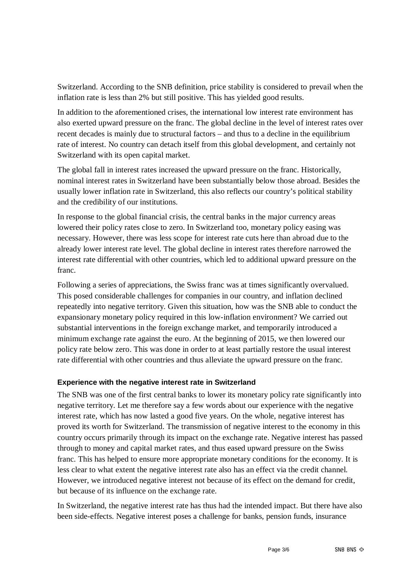Switzerland. According to the SNB definition, price stability is considered to prevail when the inflation rate is less than 2% but still positive. This has yielded good results.

In addition to the aforementioned crises, the international low interest rate environment has also exerted upward pressure on the franc. The global decline in the level of interest rates over recent decades is mainly due to structural factors – and thus to a decline in the equilibrium rate of interest. No country can detach itself from this global development, and certainly not Switzerland with its open capital market.

The global fall in interest rates increased the upward pressure on the franc. Historically, nominal interest rates in Switzerland have been substantially below those abroad. Besides the usually lower inflation rate in Switzerland, this also reflects our country's political stability and the credibility of our institutions.

In response to the global financial crisis, the central banks in the major currency areas lowered their policy rates close to zero. In Switzerland too, monetary policy easing was necessary. However, there was less scope for interest rate cuts here than abroad due to the already lower interest rate level. The global decline in interest rates therefore narrowed the interest rate differential with other countries, which led to additional upward pressure on the franc.

Following a series of appreciations, the Swiss franc was at times significantly overvalued. This posed considerable challenges for companies in our country, and inflation declined repeatedly into negative territory. Given this situation, how was the SNB able to conduct the expansionary monetary policy required in this low-inflation environment? We carried out substantial interventions in the foreign exchange market, and temporarily introduced a minimum exchange rate against the euro. At the beginning of 2015, we then lowered our policy rate below zero. This was done in order to at least partially restore the usual interest rate differential with other countries and thus alleviate the upward pressure on the franc.

#### **Experience with the negative interest rate in Switzerland**

The SNB was one of the first central banks to lower its monetary policy rate significantly into negative territory. Let me therefore say a few words about our experience with the negative interest rate, which has now lasted a good five years. On the whole, negative interest has proved its worth for Switzerland. The transmission of negative interest to the economy in this country occurs primarily through its impact on the exchange rate. Negative interest has passed through to money and capital market rates, and thus eased upward pressure on the Swiss franc. This has helped to ensure more appropriate monetary conditions for the economy. It is less clear to what extent the negative interest rate also has an effect via the credit channel. However, we introduced negative interest not because of its effect on the demand for credit, but because of its influence on the exchange rate.

In Switzerland, the negative interest rate has thus had the intended impact. But there have also been side-effects. Negative interest poses a challenge for banks, pension funds, insurance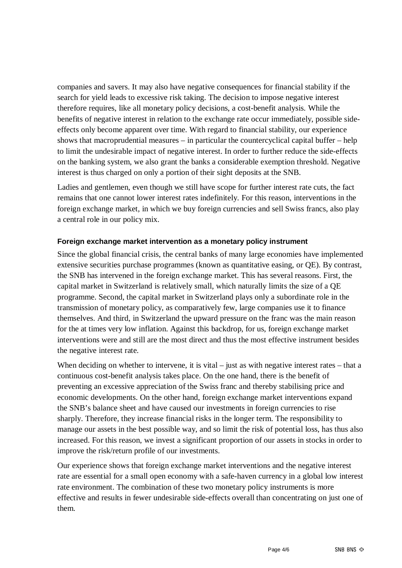companies and savers. It may also have negative consequences for financial stability if the search for yield leads to excessive risk taking. The decision to impose negative interest therefore requires, like all monetary policy decisions, a cost-benefit analysis. While the benefits of negative interest in relation to the exchange rate occur immediately, possible sideeffects only become apparent over time. With regard to financial stability, our experience shows that macroprudential measures – in particular the countercyclical capital buffer – help to limit the undesirable impact of negative interest. In order to further reduce the side-effects on the banking system, we also grant the banks a considerable exemption threshold. Negative interest is thus charged on only a portion of their sight deposits at the SNB.

Ladies and gentlemen, even though we still have scope for further interest rate cuts, the fact remains that one cannot lower interest rates indefinitely. For this reason, interventions in the foreign exchange market, in which we buy foreign currencies and sell Swiss francs, also play a central role in our policy mix.

#### **Foreign exchange market intervention as a monetary policy instrument**

Since the global financial crisis, the central banks of many large economies have implemented extensive securities purchase programmes (known as quantitative easing, or QE). By contrast, the SNB has intervened in the foreign exchange market. This has several reasons. First, the capital market in Switzerland is relatively small, which naturally limits the size of a QE programme. Second, the capital market in Switzerland plays only a subordinate role in the transmission of monetary policy, as comparatively few, large companies use it to finance themselves. And third, in Switzerland the upward pressure on the franc was the main reason for the at times very low inflation. Against this backdrop, for us, foreign exchange market interventions were and still are the most direct and thus the most effective instrument besides the negative interest rate.

When deciding on whether to intervene, it is vital – just as with negative interest rates – that a continuous cost-benefit analysis takes place. On the one hand, there is the benefit of preventing an excessive appreciation of the Swiss franc and thereby stabilising price and economic developments. On the other hand, foreign exchange market interventions expand the SNB's balance sheet and have caused our investments in foreign currencies to rise sharply. Therefore, they increase financial risks in the longer term. The responsibility to manage our assets in the best possible way, and so limit the risk of potential loss, has thus also increased. For this reason, we invest a significant proportion of our assets in stocks in order to improve the risk/return profile of our investments.

Our experience shows that foreign exchange market interventions and the negative interest rate are essential for a small open economy with a safe-haven currency in a global low interest rate environment. The combination of these two monetary policy instruments is more effective and results in fewer undesirable side-effects overall than concentrating on just one of them.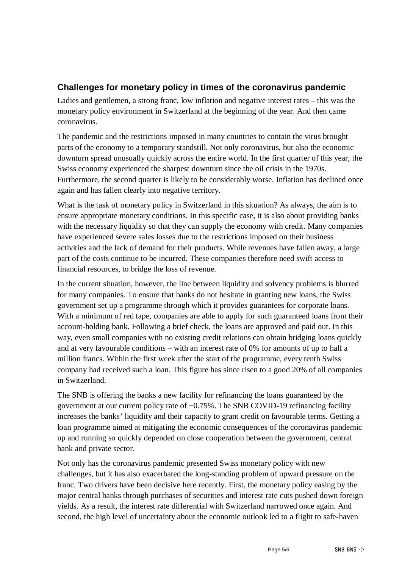## **Challenges for monetary policy in times of the coronavirus pandemic**

Ladies and gentlemen, a strong franc, low inflation and negative interest rates – this was the monetary policy environment in Switzerland at the beginning of the year. And then came coronavirus.

The pandemic and the restrictions imposed in many countries to contain the virus brought parts of the economy to a temporary standstill. Not only coronavirus, but also the economic downturn spread unusually quickly across the entire world. In the first quarter of this year, the Swiss economy experienced the sharpest downturn since the oil crisis in the 1970s. Furthermore, the second quarter is likely to be considerably worse. Inflation has declined once again and has fallen clearly into negative territory.

What is the task of monetary policy in Switzerland in this situation? As always, the aim is to ensure appropriate monetary conditions. In this specific case, it is also about providing banks with the necessary liquidity so that they can supply the economy with credit. Many companies have experienced severe sales losses due to the restrictions imposed on their business activities and the lack of demand for their products. While revenues have fallen away, a large part of the costs continue to be incurred. These companies therefore need swift access to financial resources, to bridge the loss of revenue.

In the current situation, however, the line between liquidity and solvency problems is blurred for many companies. To ensure that banks do not hesitate in granting new loans, the Swiss government set up a programme through which it provides guarantees for corporate loans. With a minimum of red tape, companies are able to apply for such guaranteed loans from their account-holding bank. Following a brief check, the loans are approved and paid out. In this way, even small companies with no existing credit relations can obtain bridging loans quickly and at very favourable conditions – with an interest rate of 0% for amounts of up to half a million francs. Within the first week after the start of the programme, every tenth Swiss company had received such a loan. This figure has since risen to a good 20% of all companies in Switzerland.

The SNB is offering the banks a new facility for refinancing the loans guaranteed by the government at our current policy rate of −0.75%. The SNB COVID-19 refinancing facility increases the banks' liquidity and their capacity to grant credit on favourable terms. Getting a loan programme aimed at mitigating the economic consequences of the coronavirus pandemic up and running so quickly depended on close cooperation between the government, central bank and private sector.

Not only has the coronavirus pandemic presented Swiss monetary policy with new challenges, but it has also exacerbated the long-standing problem of upward pressure on the franc. Two drivers have been decisive here recently. First, the monetary policy easing by the major central banks through purchases of securities and interest rate cuts pushed down foreign yields. As a result, the interest rate differential with Switzerland narrowed once again. And second, the high level of uncertainty about the economic outlook led to a flight to safe-haven